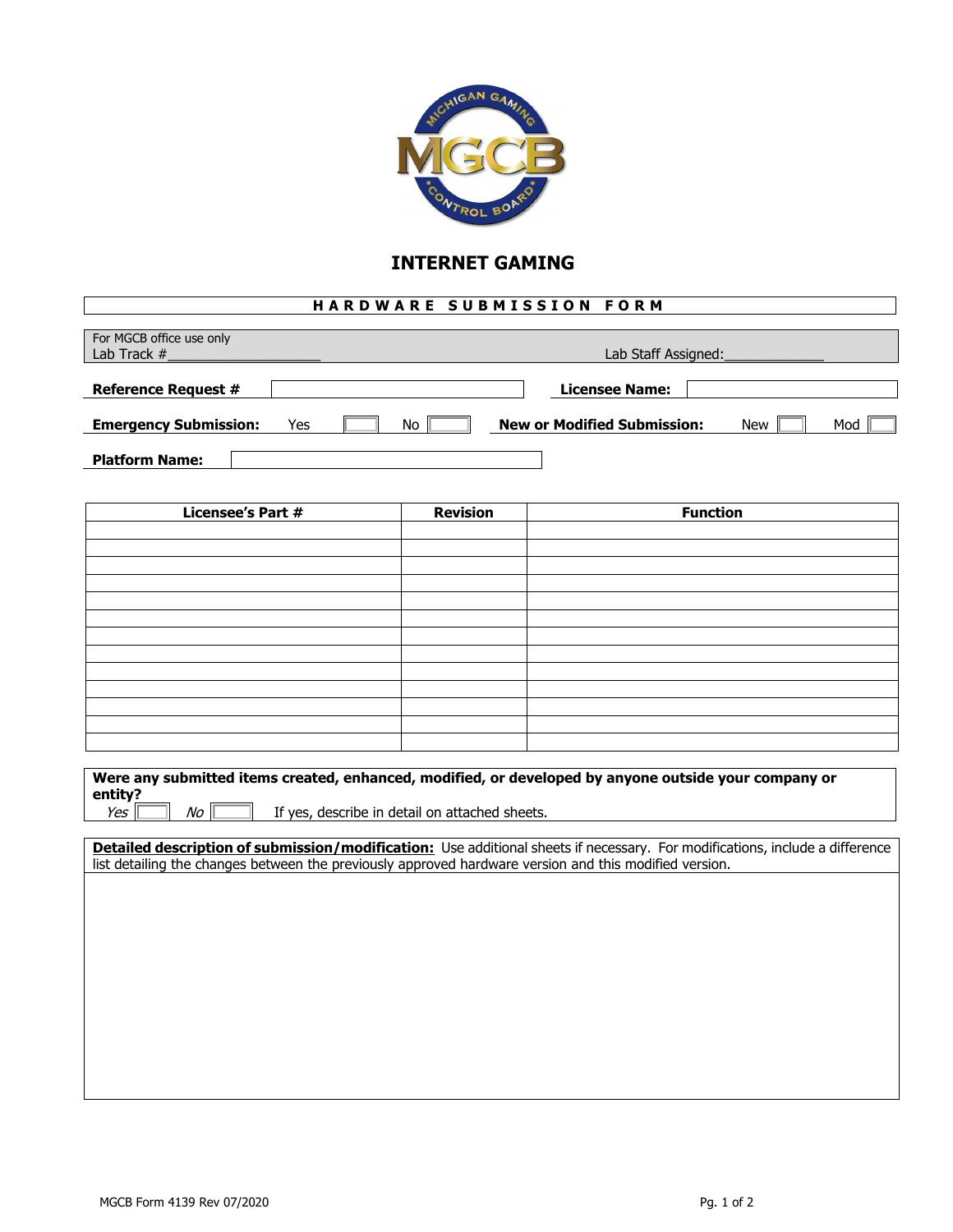

## **INTERNET GAMING**

## **HARDWARE SUBMISSION FORM**

| For MGCB office use only<br>Lab Track # | Lab Staff Assigned: |  |    |  |                                    |  |            |     |
|-----------------------------------------|---------------------|--|----|--|------------------------------------|--|------------|-----|
|                                         |                     |  |    |  |                                    |  |            |     |
| <b>Reference Request #</b>              |                     |  |    |  | Licensee Name:                     |  |            |     |
| <b>Emergency Submission:</b>            | Yes                 |  | No |  | <b>New or Modified Submission:</b> |  | <b>New</b> | Mod |
| <b>Platform Name:</b>                   |                     |  |    |  |                                    |  |            |     |

| <b>Licensee's Part #</b> | <b>Revision</b> | <b>Function</b> |
|--------------------------|-----------------|-----------------|
|                          |                 |                 |
|                          |                 |                 |
|                          |                 |                 |
|                          |                 |                 |
|                          |                 |                 |
|                          |                 |                 |
|                          |                 |                 |
|                          |                 |                 |
|                          |                 |                 |
|                          |                 |                 |
|                          |                 |                 |
|                          |                 |                 |
|                          |                 |                 |

| Were any submitted items created, enhanced, modified, or developed by anyone outside your company or |                                                |  |  |  |  |
|------------------------------------------------------------------------------------------------------|------------------------------------------------|--|--|--|--|
| entity?                                                                                              |                                                |  |  |  |  |
| Yes<br>No                                                                                            | If yes, describe in detail on attached sheets. |  |  |  |  |

**Detailed description of submission/modification:** Use additional sheets if necessary. For modifications, include a difference list detailing the changes between the previously approved hardware version and this modified version.